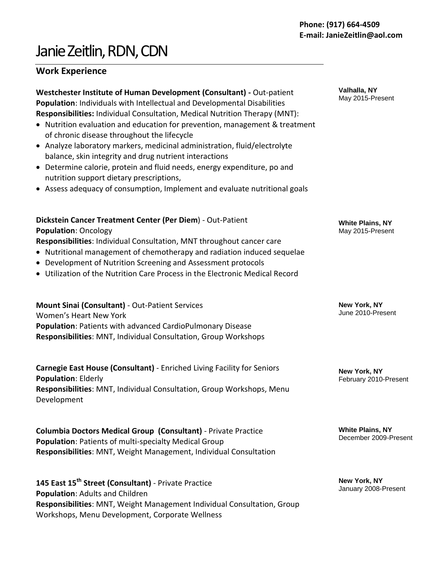# Janie Zeitlin, RDN, CDN

## **Work Experience**

**Westchester Institute of Human Development (Consultant) -** Out-patient **Population**: Individuals with Intellectual and Developmental Disabilities **Responsibilities:** Individual Consultation, Medical Nutrition Therapy (MNT):

- Nutrition evaluation and education for prevention, management & treatment of chronic disease throughout the lifecycle
- Analyze laboratory markers, medicinal administration, fluid/electrolyte balance, skin integrity and drug nutrient interactions
- Determine calorie, protein and fluid needs, energy expenditure, po and nutrition support dietary prescriptions,
- Assess adequacy of consumption, Implement and evaluate nutritional goals

## **Dickstein Cancer Treatment Center (Per Diem**) - Out-Patient **Population**: Oncology

**Responsibilities**: Individual Consultation, MNT throughout cancer care

- Nutritional management of chemotherapy and radiation induced sequelae
- Development of Nutrition Screening and Assessment protocols
- Utilization of the Nutrition Care Process in the Electronic Medical Record

## **Mount Sinai (Consultant)** - Out-Patient Services Women's Heart New York **Population**: Patients with advanced CardioPulmonary Disease **Responsibilities**: MNT, Individual Consultation, Group Workshops

**Carnegie East House (Consultant)** - Enriched Living Facility for Seniors **Population**: Elderly **Responsibilities**: MNT, Individual Consultation, Group Workshops, Menu Development

**Columbia Doctors Medical Group (Consultant)** - Private Practice **Population**: Patients of multi-specialty Medical Group **Responsibilities**: MNT, Weight Management, Individual Consultation

**145 East 15th Street (Consultant)** - Private Practice **Population**: Adults and Children **Responsibilities**: MNT, Weight Management Individual Consultation, Group Workshops, Menu Development, Corporate Wellness

**Valhalla, NY** May 2015-Present

**White Plains, NY** May 2015-Present

**New York, NY** June 2010-Present

**New York, NY** February 2010-Present

**White Plains, NY** December 2009-Present

**New York, NY** January 2008-Present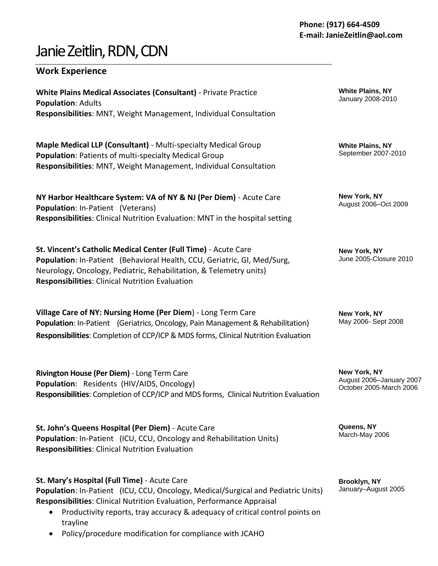# Janie Zeitlin, RDN, CDN

## **Work Experience**

**White Plains Medical Associates (Consultant)** - Private Practice **Population**: Adults **Responsibilities**: MNT, Weight Management, Individual Consultation

**Maple Medical LLP (Consultant)** - Multi-specialty Medical Group **Population**: Patients of multi-specialty Medical Group **Responsibilities**: MNT, Weight Management, Individual Consultation

**NY Harbor Healthcare System: VA of NY & NJ (Per Diem)** - Acute Care **Population**: In-Patient (Veterans) **Responsibilities**: Clinical Nutrition Evaluation: MNT in the hospital setting

**St. Vincent's Catholic Medical Center (Full Time)** - Acute Care **Population**: In-Patient (Behavioral Health, CCU, Geriatric, GI, Med/Surg, Neurology, Oncology, Pediatric, Rehabilitation, & Telemetry units) **Responsibilities**: Clinical Nutrition Evaluation

**Village Care of NY: Nursing Home (Per Diem**) - Long Term Care **Population**: In-Patient (Geriatrics, Oncology, Pain Management & Rehabilitation) **Responsibilities**: Completion of CCP/ICP & MDS forms, Clinical Nutrition Evaluation

**Rivington House (Per Diem)** - Long Term Care **Population**: Residents (HIV/AIDS, Oncology) **Responsibilities**: Completion of CCP/ICP and MDS forms, Clinical Nutrition Evaluation

**St. John's Queens Hospital (Per Diem)** - Acute Care **Population**: In-Patient (ICU, CCU, Oncology and Rehabilitation Units) **Responsibilities**: Clinical Nutrition Evaluation

**St. Mary's Hospital (Full Time)** - Acute Care

**Population**: In-Patient (ICU, CCU, Oncology, Medical/Surgical and Pediatric Units) **Responsibilities**: Clinical Nutrition Evaluation, Performance Appraisal

- Productivity reports, tray accuracy & adequacy of critical control points on trayline
- Policy/procedure modification for compliance with JCAHO

**White Plains, NY** January 2008-2010

**White Plains, NY** September 2007-2010

**New York, NY** August 2006–Oct 2009

**New York, NY** June 2005-Closure 2010

**New York, NY**  May 2006- Sept 2008

**New York, NY** August 2006–January 2007 October 2005-March 2006

**Queens, NY** March-May 2006

**Brooklyn, NY** January–August 2005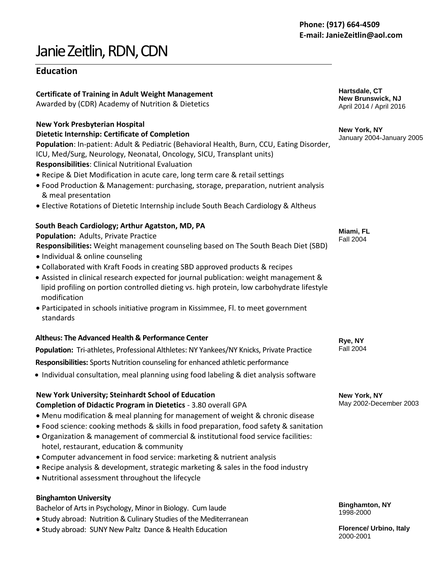# Janie Zeitlin,RDN, CDN

## **Education**

## **Certificate of Training in Adult Weight Management**

Awarded by (CDR) Academy of Nutrition & Dietetics

### **New York Presbyterian Hospital**

### **Dietetic Internship: Certificate of Completion**

**Population**: In-patient: Adult & Pediatric (Behavioral Health, Burn, CCU, Eating Disorder, ICU, Med/Surg, Neurology, Neonatal, Oncology, SICU, Transplant units) **Responsibilities**: Clinical Nutritional Evaluation

- Recipe & Diet Modification in acute care, long term care & retail settings
- Food Production & Management: purchasing, storage, preparation, nutrient analysis & meal presentation
- Elective Rotations of Dietetic Internship include South Beach Cardiology & Altheus

## **South Beach Cardiology; Arthur Agatston, MD, PA**

## **Population:** Adults, Private Practice

- **Responsibilities:** Weight management counseling based on The South Beach Diet (SBD)
- Individual & online counseling
- Collaborated with Kraft Foods in creating SBD approved products & recipes
- Assisted in clinical research expected for journal publication: weight management & lipid profiling on portion controlled dieting vs. high protein, low carbohydrate lifestyle modification
- Participated in schools initiative program in Kissimmee, Fl. to meet government standards

## **Altheus: The Advanced Health & Performance Center**

**Population:** Tri-athletes, Professional Althletes: NY Yankees/NY Knicks, Private Practice

**Responsibilities:** Sports Nutrition counseling for enhanced athletic performance

Individual consultation, meal planning using food labeling & diet analysis software

**New York University; Steinhardt School of Education**

## **Completion of Didactic Program in Dietetics** - 3.80 overall GPA

- Menu modification & meal planning for management of weight & chronic disease
- Food science: cooking methods & skills in food preparation, food safety & sanitation
- Organization & management of commercial & institutional food service facilities: hotel, restaurant, education & community
- Computer advancement in food service: marketing & nutrient analysis
- Recipe analysis & development, strategic marketing & sales in the food industry
- Nutritional assessment throughout the lifecycle

## **Binghamton University**

Bachelor of Arts in Psychology, Minor in Biology. Cum laude

- Study abroad: Nutrition & Culinary Studies of the Mediterranean
- Study abroad: SUNY New Paltz Dance & Health Education

**Hartsdale, CT New Brunswick, NJ**  April 2014 / April 2016

**New York, NY** January 2004-January 2005

**Miami, FL** Fall 2004

**Rye, NY** Fall 2004

**New York, NY** May 2002-December 2003

**Binghamton, NY** 1998-2000

**Florence/ Urbino, Italy** 2000-2001